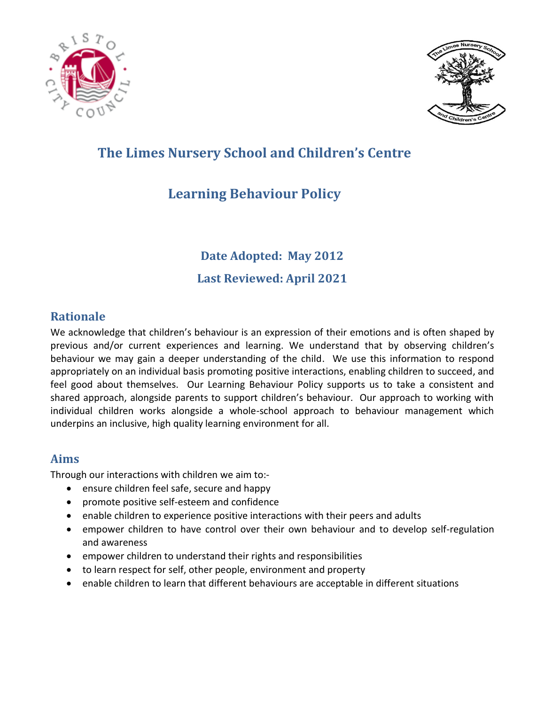



# **The Limes Nursery School and Children's Centre**

# **Learning Behaviour Policy**

**Date Adopted: May 2012**

**Last Reviewed: April 2021 Least Att vice** 

### **Rationale**

We acknowledge that children's behaviour is an expression of their emotions and is often shaped by previous and/or current experiences and learning. We understand that by observing children's behaviour we may gain a deeper understanding of the child. We use this information to respond appropriately on an individual basis promoting positive interactions, enabling children to succeed, and feel good about themselves. Our Learning Behaviour Policy supports us to take a consistent and shared approach, alongside parents to support children's behaviour. Our approach to working with individual children works alongside a whole-school approach to behaviour management which underpins an inclusive, high quality learning environment for all.

#### **Aims**

Through our interactions with children we aim to:-

- ensure children feel safe, secure and happy
- promote positive self-esteem and confidence
- enable children to experience positive interactions with their peers and adults
- empower children to have control over their own behaviour and to develop self-regulation and awareness
- empower children to understand their rights and responsibilities
- to learn respect for self, other people, environment and property
- enable children to learn that different behaviours are acceptable in different situations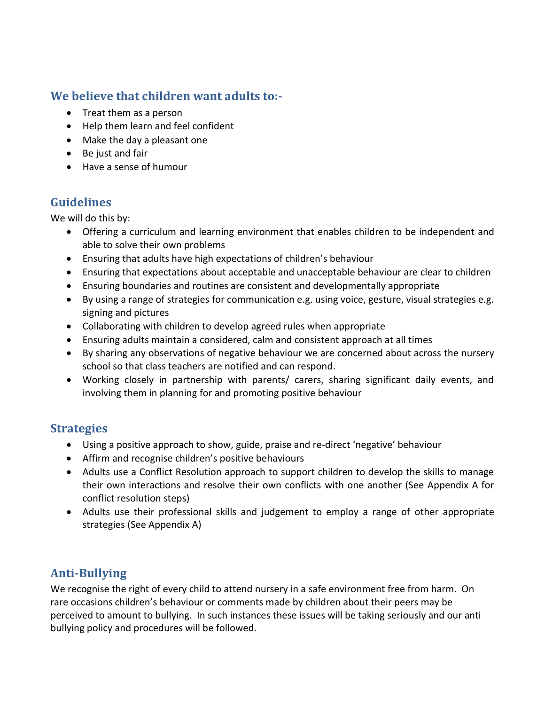## **We believe that children want adults to:-**

- Treat them as a person
- Help them learn and feel confident
- Make the day a pleasant one
- Be just and fair
- Have a sense of humour

## **Guidelines**

We will do this by:

- Offering a curriculum and learning environment that enables children to be independent and able to solve their own problems
- Ensuring that adults have high expectations of children's behaviour
- Ensuring that expectations about acceptable and unacceptable behaviour are clear to children
- Ensuring boundaries and routines are consistent and developmentally appropriate
- By using a range of strategies for communication e.g. using voice, gesture, visual strategies e.g. signing and pictures
- Collaborating with children to develop agreed rules when appropriate
- Ensuring adults maintain a considered, calm and consistent approach at all times
- By sharing any observations of negative behaviour we are concerned about across the nursery school so that class teachers are notified and can respond.
- Working closely in partnership with parents/ carers, sharing significant daily events, and involving them in planning for and promoting positive behaviour

### **Strategies**

- Using a positive approach to show, guide, praise and re-direct 'negative' behaviour
- Affirm and recognise children's positive behaviours
- Adults use a Conflict Resolution approach to support children to develop the skills to manage their own interactions and resolve their own conflicts with one another (See Appendix A for conflict resolution steps)
- Adults use their professional skills and judgement to employ a range of other appropriate strategies (See Appendix A)

## **Anti-Bullying**

We recognise the right of every child to attend nursery in a safe environment free from harm. On rare occasions children's behaviour or comments made by children about their peers may be perceived to amount to bullying. In such instances these issues will be taking seriously and our anti bullying policy and procedures will be followed.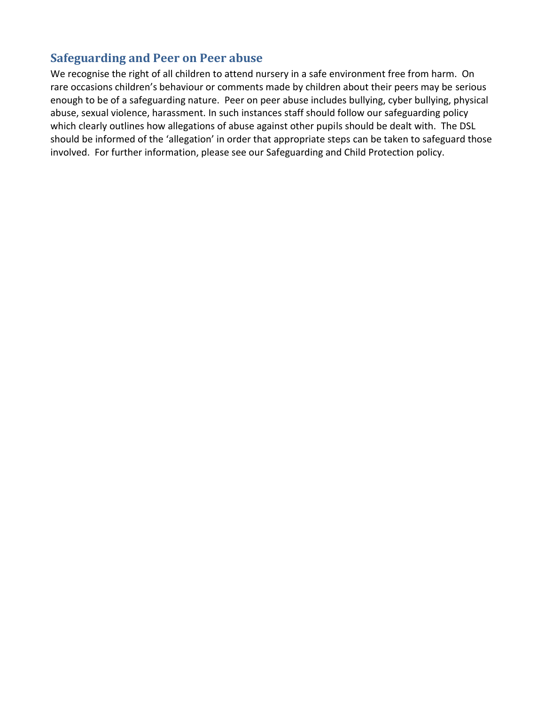#### **Safeguarding and Peer on Peer abuse**

We recognise the right of all children to attend nursery in a safe environment free from harm. On rare occasions children's behaviour or comments made by children about their peers may be serious enough to be of a safeguarding nature. Peer on peer abuse includes bullying, cyber bullying, physical abuse, sexual violence, harassment. In such instances staff should follow our safeguarding policy which clearly outlines how allegations of abuse against other pupils should be dealt with. The DSL should be informed of the 'allegation' in order that appropriate steps can be taken to safeguard those involved. For further information, please see our Safeguarding and Child Protection policy.